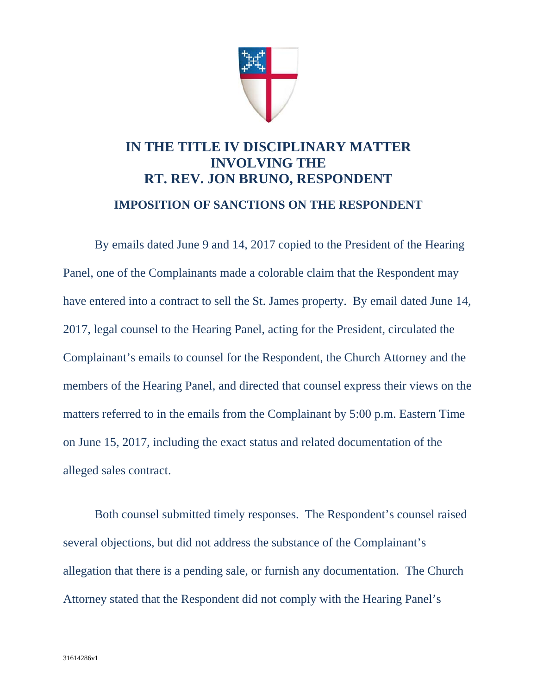

## **IN THE TITLE IV DISCIPLINARY MATTER INVOLVING THE RT. REV. JON BRUNO, RESPONDENT**

## **IMPOSITION OF SANCTIONS ON THE RESPONDENT**

By emails dated June 9 and 14, 2017 copied to the President of the Hearing Panel, one of the Complainants made a colorable claim that the Respondent may have entered into a contract to sell the St. James property. By email dated June 14, 2017, legal counsel to the Hearing Panel, acting for the President, circulated the Complainant's emails to counsel for the Respondent, the Church Attorney and the members of the Hearing Panel, and directed that counsel express their views on the matters referred to in the emails from the Complainant by 5:00 p.m. Eastern Time on June 15, 2017, including the exact status and related documentation of the alleged sales contract.

 Both counsel submitted timely responses. The Respondent's counsel raised several objections, but did not address the substance of the Complainant's allegation that there is a pending sale, or furnish any documentation. The Church Attorney stated that the Respondent did not comply with the Hearing Panel's